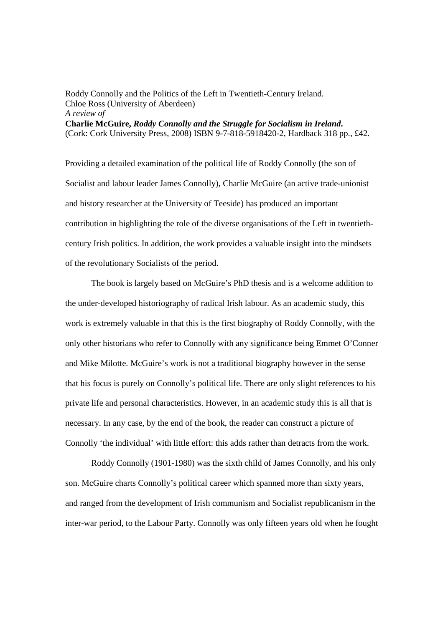## Roddy Connolly and the Politics of the Left in Twentieth-Century Ireland. Chloe Ross (University of Aberdeen) *A review of*  **Charlie McGuire,** *Roddy Connolly and the Struggle for Socialism in Ireland***.** (Cork: Cork University Press, 2008) ISBN 9-7-818-5918420-2, Hardback 318 pp., £42.

Providing a detailed examination of the political life of Roddy Connolly (the son of Socialist and labour leader James Connolly), Charlie McGuire (an active trade-unionist and history researcher at the University of Teeside) has produced an important contribution in highlighting the role of the diverse organisations of the Left in twentiethcentury Irish politics. In addition, the work provides a valuable insight into the mindsets of the revolutionary Socialists of the period.

The book is largely based on McGuire's PhD thesis and is a welcome addition to the under-developed historiography of radical Irish labour. As an academic study, this work is extremely valuable in that this is the first biography of Roddy Connolly, with the only other historians who refer to Connolly with any significance being Emmet O'Conner and Mike Milotte. McGuire's work is not a traditional biography however in the sense that his focus is purely on Connolly's political life. There are only slight references to his private life and personal characteristics. However, in an academic study this is all that is necessary. In any case, by the end of the book, the reader can construct a picture of Connolly 'the individual' with little effort: this adds rather than detracts from the work.

Roddy Connolly (1901-1980) was the sixth child of James Connolly, and his only son. McGuire charts Connolly's political career which spanned more than sixty years, and ranged from the development of Irish communism and Socialist republicanism in the inter-war period, to the Labour Party. Connolly was only fifteen years old when he fought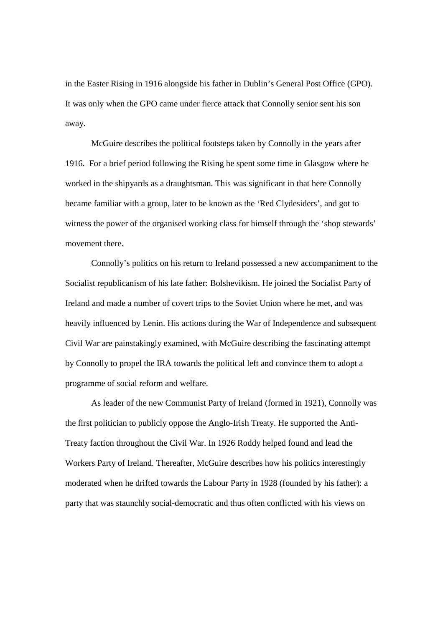in the Easter Rising in 1916 alongside his father in Dublin's General Post Office (GPO). It was only when the GPO came under fierce attack that Connolly senior sent his son away.

McGuire describes the political footsteps taken by Connolly in the years after 1916. For a brief period following the Rising he spent some time in Glasgow where he worked in the shipyards as a draughtsman. This was significant in that here Connolly became familiar with a group, later to be known as the 'Red Clydesiders', and got to witness the power of the organised working class for himself through the 'shop stewards' movement there.

Connolly's politics on his return to Ireland possessed a new accompaniment to the Socialist republicanism of his late father: Bolshevikism. He joined the Socialist Party of Ireland and made a number of covert trips to the Soviet Union where he met, and was heavily influenced by Lenin. His actions during the War of Independence and subsequent Civil War are painstakingly examined, with McGuire describing the fascinating attempt by Connolly to propel the IRA towards the political left and convince them to adopt a programme of social reform and welfare.

As leader of the new Communist Party of Ireland (formed in 1921), Connolly was the first politician to publicly oppose the Anglo-Irish Treaty. He supported the Anti-Treaty faction throughout the Civil War. In 1926 Roddy helped found and lead the Workers Party of Ireland. Thereafter, McGuire describes how his politics interestingly moderated when he drifted towards the Labour Party in 1928 (founded by his father): a party that was staunchly social-democratic and thus often conflicted with his views on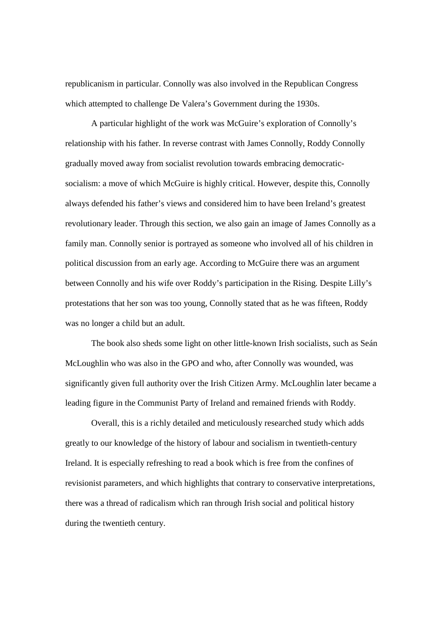republicanism in particular. Connolly was also involved in the Republican Congress which attempted to challenge De Valera's Government during the 1930s.

A particular highlight of the work was McGuire's exploration of Connolly's relationship with his father. In reverse contrast with James Connolly, Roddy Connolly gradually moved away from socialist revolution towards embracing democraticsocialism: a move of which McGuire is highly critical. However, despite this, Connolly always defended his father's views and considered him to have been Ireland's greatest revolutionary leader. Through this section, we also gain an image of James Connolly as a family man. Connolly senior is portrayed as someone who involved all of his children in political discussion from an early age. According to McGuire there was an argument between Connolly and his wife over Roddy's participation in the Rising. Despite Lilly's protestations that her son was too young, Connolly stated that as he was fifteen, Roddy was no longer a child but an adult.

The book also sheds some light on other little-known Irish socialists, such as Seán McLoughlin who was also in the GPO and who, after Connolly was wounded, was significantly given full authority over the Irish Citizen Army. McLoughlin later became a leading figure in the Communist Party of Ireland and remained friends with Roddy.

Overall, this is a richly detailed and meticulously researched study which adds greatly to our knowledge of the history of labour and socialism in twentieth-century Ireland. It is especially refreshing to read a book which is free from the confines of revisionist parameters, and which highlights that contrary to conservative interpretations, there was a thread of radicalism which ran through Irish social and political history during the twentieth century.